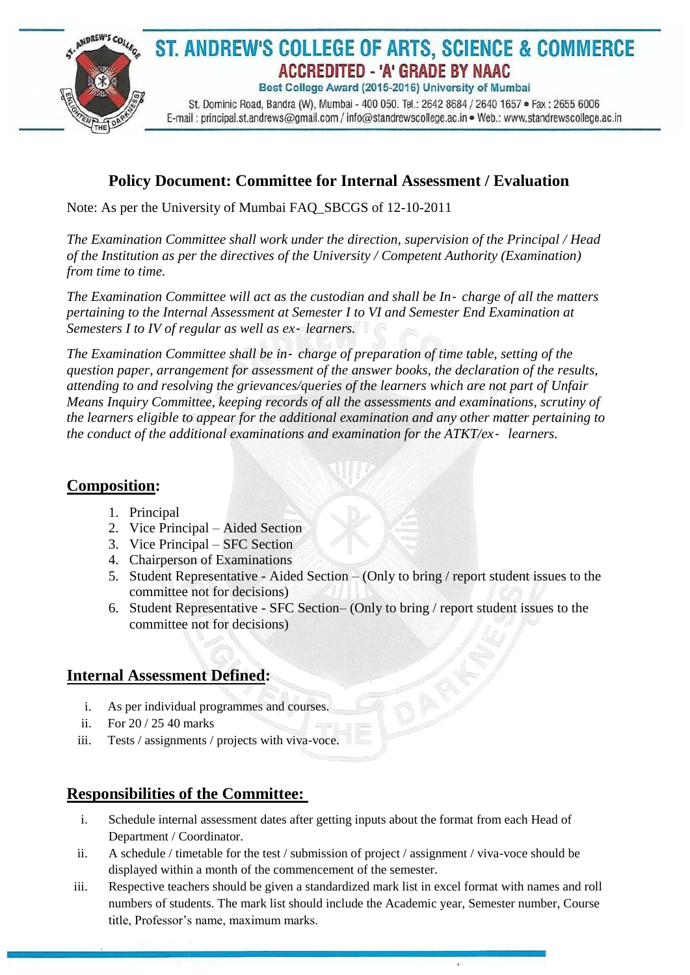

### **Policy Document: Committee for Internal Assessment / Evaluation**

Note: As per the University of Mumbai FAQ\_SBCGS of 12-10-2011

*The Examination Committee shall work under the direction, supervision of the Principal / Head of the Institution as per the directives of the University / Competent Authority (Examination) from time to time.*

*The Examination Committee will act as the custodian and shall be In*‐ *charge of all the matters pertaining to the Internal Assessment at Semester I to VI and Semester End Examination at Semesters I to IV of regular as well as ex*‐ *learners.*

*The Examination Committee shall be in*‐ *charge of preparation of time table, setting of the question paper, arrangement for assessment of the answer books, the declaration of the results, attending to and resolving the grievances/queries of the learners which are not part of Unfair Means Inquiry Committee, keeping records of all the assessments and examinations, scrutiny of the learners eligible to appear for the additional examination and any other matter pertaining to the conduct of the additional examinations and examination for the ATKT/ex*‐ *learners.*

#### **Composition:**

- 1. Principal
- 2. Vice Principal Aided Section
- 3. Vice Principal SFC Section
- 4. Chairperson of Examinations
- 5. Student Representative Aided Section (Only to bring / report student issues to the committee not for decisions)
- 6. Student Representative SFC Section– (Only to bring / report student issues to the committee not for decisions)

#### **Internal Assessment Defined:**

- i. As per individual programmes and courses.
- ii. For 20 / 25 40 marks
- iii. Tests / assignments / projects with viva-voce.

#### **Responsibilities of the Committee:**

- i. Schedule internal assessment dates after getting inputs about the format from each Head of Department / Coordinator.
- ii. A schedule / timetable for the test / submission of project / assignment / viva-voce should be displayed within a month of the commencement of the semester.
- iii. Respective teachers should be given a standardized mark list in excel format with names and roll numbers of students. The mark list should include the Academic year, Semester number, Course title, Professor's name, maximum marks.

 $\lambda$